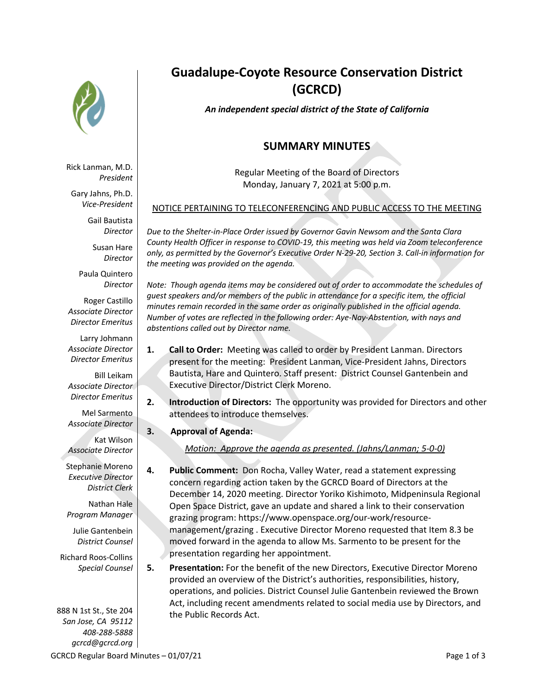

Rick Lanman, M.D. *President*

Gary Jahns, Ph.D. *Vice-President*

> Gail Bautista *Director*

> > Susan Hare *Director*

Paula Quintero *Director*

Roger Castillo *Associate Director Director Emeritus*

Larry Johmann *Associate Director Director Emeritus*

Bill Leikam *Associate Director Director Emeritus*

Mel Sarmento *Associate Director*

Kat Wilson *Associate Director*

Stephanie Moreno *Executive Director District Clerk*

Nathan Hale *Program Manager*

Julie Gantenbein *District Counsel*

Richard Roos-Collins *Special Counsel*

888 N 1st St., Ste 204 *San Jose, CA 95112 408-288-5888 gcrcd@gcrcd.org* 

# **Guadalupe-Coyote Resource Conservation District (GCRCD)**

*An independent special district of the State of California*

## **SUMMARY MINUTES**

Regular Meeting of the Board of Directors Monday, January 7, 2021 at 5:00 p.m.

### NOTICE PERTAINING TO TELECONFERENCING AND PUBLIC ACCESS TO THE MEETING

*Due to the Shelter-in-Place Order issued by Governor Gavin Newsom and the Santa Clara County Health Officer in response to COVID-19, this meeting was held via Zoom teleconference only, as permitted by the Governor's Executive Order N-29-20, Section 3. Call-in information for the meeting was provided on the agenda.*

*Note: Though agenda items may be considered out of order to accommodate the schedules of guest speakers and/or members of the public in attendance for a specific item, the official minutes remain recorded in the same order as originally published in the official agenda. Number of votes are reflected in the following order: Aye-Nay-Abstention, with nays and abstentions called out by Director name.*

- **1. Call to Order:** Meeting was called to order by President Lanman. Directors present for the meeting: President Lanman, Vice-President Jahns, Directors Bautista, Hare and Quintero. Staff present: District Counsel Gantenbein and Executive Director/District Clerk Moreno.
- **2. Introduction of Directors:** The opportunity was provided for Directors and other attendees to introduce themselves.
- **3. Approval of Agenda:**

*Motion: Approve the agenda as presented. (Jahns/Lanman; 5-0-0)*

- **4. Public Comment:** Don Rocha, Valley Water, read a statement expressing concern regarding action taken by the GCRCD Board of Directors at the December 14, 2020 meeting. Director Yoriko Kishimoto, Midpeninsula Regional Open Space District, gave an update and shared a link to their conservation grazing program: https://www.openspace.org/our-work/resourcemanagement/grazing . Executive Director Moreno requested that Item 8.3 be moved forward in the agenda to allow Ms. Sarmento to be present for the presentation regarding her appointment.
- **5. Presentation:** For the benefit of the new Directors, Executive Director Moreno provided an overview of the District's authorities, responsibilities, history, operations, and policies. District Counsel Julie Gantenbein reviewed the Brown Act, including recent amendments related to social media use by Directors, and the Public Records Act.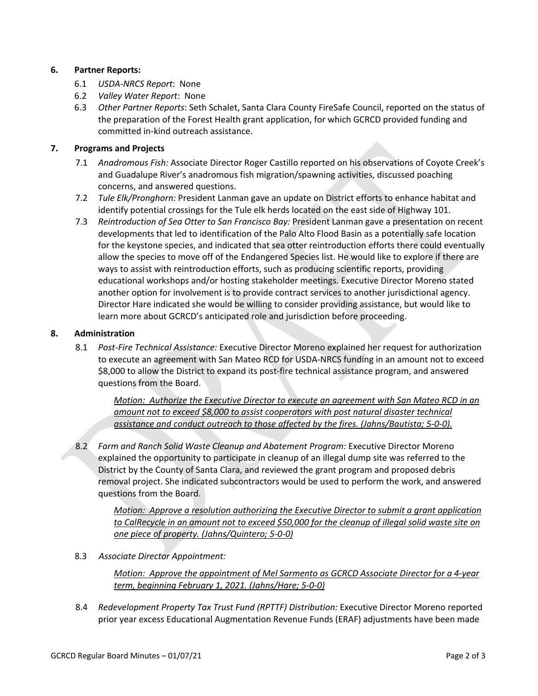#### **6. Partner Reports:**

- 6.1 *USDA-NRCS Report*: None
- 6.2 *Valley Water Report*: None
- 6.3 *Other Partner Reports*: Seth Schalet, Santa Clara County FireSafe Council, reported on the status of the preparation of the Forest Health grant application, for which GCRCD provided funding and committed in-kind outreach assistance.

#### **7. Programs and Projects**

- 7.1 *Anadromous Fish:* Associate Director Roger Castillo reported on his observations of Coyote Creek's and Guadalupe River's anadromous fish migration/spawning activities, discussed poaching concerns, and answered questions.
- 7.2 *Tule Elk/Pronghorn:* President Lanman gave an update on District efforts to enhance habitat and identify potential crossings for the Tule elk herds located on the east side of Highway 101.
- 7.3 *Reintroduction of Sea Otter to San Francisco Bay:* President Lanman gave a presentation on recent developments that led to identification of the Palo Alto Flood Basin as a potentially safe location for the keystone species, and indicated that sea otter reintroduction efforts there could eventually allow the species to move off of the Endangered Species list. He would like to explore if there are ways to assist with reintroduction efforts, such as producing scientific reports, providing educational workshops and/or hosting stakeholder meetings. Executive Director Moreno stated another option for involvement is to provide contract services to another jurisdictional agency. Director Hare indicated she would be willing to consider providing assistance, but would like to learn more about GCRCD's anticipated role and jurisdiction before proceeding.

#### **8. Administration**

8.1 *Post-Fire Technical Assistance:* Executive Director Moreno explained her request for authorization to execute an agreement with San Mateo RCD for USDA-NRCS funding in an amount not to exceed \$8,000 to allow the District to expand its post-fire technical assistance program, and answered questions from the Board.

*Motion: Authorize the Executive Director to execute an agreement with San Mateo RCD in an amount not to exceed \$8,000 to assist cooperators with post natural disaster technical assistance and conduct outreach to those affected by the fires. (Jahns/Bautista; 5-0-0).*

8.2 *Farm and Ranch Solid Waste Cleanup and Abatement Program:* Executive Director Moreno explained the opportunity to participate in cleanup of an illegal dump site was referred to the District by the County of Santa Clara, and reviewed the grant program and proposed debris removal project. She indicated subcontractors would be used to perform the work, and answered questions from the Board.

*Motion: Approve a resolution authorizing the Executive Director to submit a grant application to CalRecycle in an amount not to exceed \$50,000 for the cleanup of illegal solid waste site on one piece of property. (Jahns/Quintero; 5-0-0)*

8.3 *Associate Director Appointment:* 

*Motion: Approve the appointment of Mel Sarmento as GCRCD Associate Director for a 4-year term, beginning February 1, 2021. (Jahns/Hare; 5-0-0)*

8.4 *Redevelopment Property Tax Trust Fund (RPTTF) Distribution:* Executive Director Moreno reported prior year excess Educational Augmentation Revenue Funds (ERAF) adjustments have been made